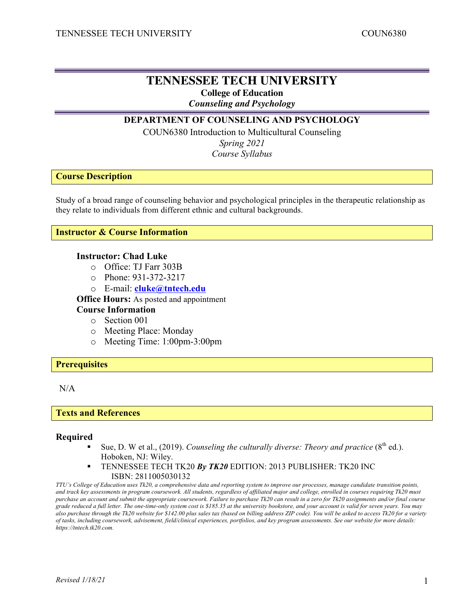# **TENNESSEE TECH UNIVERSITY College of Education**

*Counseling and Psychology*

# **DEPARTMENT OF COUNSELING AND PSYCHOLOGY**

COUN6380 Introduction to Multicultural Counseling *Spring 2021*

*Course Syllabus*

### **Course Description**

Study of a broad range of counseling behavior and psychological principles in the therapeutic relationship as they relate to individuals from different ethnic and cultural backgrounds.

### **Instructor & Course Information**

#### **Instructor: Chad Luke**

- o Office: TJ Farr 303B
- o Phone: 931-372-3217
- o E-mail: **cluke@tntech.edu**

**Office Hours:** As posted and appointment

# **Course Information**

- o Section 001
- o Meeting Place: Monday
- o Meeting Time: 1:00pm-3:00pm

#### **Prerequisites**

### N/A

#### **Texts and References**

#### **Required**

- Sue, D. W et al.,  $(2019)$ . *Counseling the culturally diverse: Theory and practice*  $(8<sup>th</sup>$  ed.). Hoboken, NJ: Wiley.
- § TENNESSEE TECH TK20 *By TK20* EDITION: 2013 PUBLISHER: TK20 INC ISBN: 2811005030132

*TTU's College of Education uses Tk20, a comprehensive data and reporting system to improve our processes, manage candidate transition points, and track key assessments in program coursework. All students, regardless of affiliated major and college, enrolled in courses requiring Tk20 must purchase an account and submit the appropriate coursework. Failure to purchase Tk20 can result in a zero for Tk20 assignments and/or final course grade reduced a full letter. The one-time-only system cost is \$185.35 at the university bookstore, and your account is valid for seven years. You may also purchase through the Tk20 website for \$142.00 plus sales tax (based on billing address ZIP code). You will be asked to access Tk20 for a variety of tasks, including coursework, advisement, field/clinical experiences, portfolios, and key program assessments. See our website for more details: https://tntech.tk20.com.*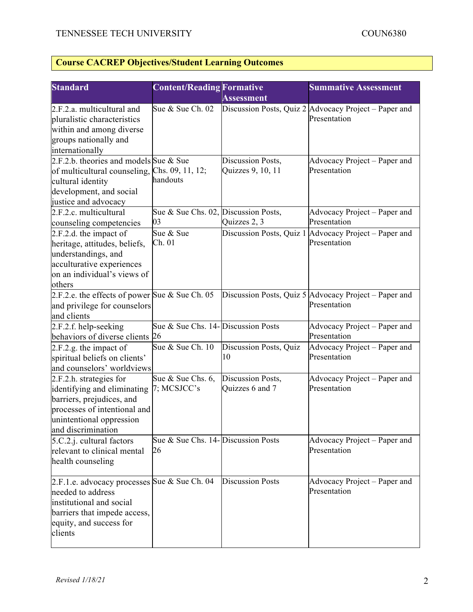# **Course CACREP Objectives/Student Learning Outcomes**

| <b>Standard</b>                                                                                                                                                       | <b>Content/Reading Formative</b>             |                                        | <b>Summative Assessment</b>                                           |
|-----------------------------------------------------------------------------------------------------------------------------------------------------------------------|----------------------------------------------|----------------------------------------|-----------------------------------------------------------------------|
|                                                                                                                                                                       |                                              | <b>Assessment</b>                      |                                                                       |
| 2.F.2.a. multicultural and<br>pluralistic characteristics<br>within and among diverse<br>groups nationally and<br>internationally                                     | Sue & Sue Ch. 02                             |                                        | Discussion Posts, Quiz 2 Advocacy Project – Paper and<br>Presentation |
| 2.F.2.b. theories and models Sue & Sue<br>of multicultural counseling, Chs. 09, 11, 12;<br>cultural identity<br>development, and social<br>justice and advocacy       | handouts                                     | Discussion Posts,<br>Quizzes 9, 10, 11 | Advocacy Project – Paper and<br>Presentation                          |
| 2.F.2.c. multicultural<br>counseling competencies                                                                                                                     | Sue & Sue Chs. 02, Discussion Posts,<br>03   | Quizzes 2, 3                           | Advocacy Project – Paper and<br>Presentation                          |
| 2.F.2.d. the impact of<br>heritage, attitudes, beliefs,<br>understandings, and<br>acculturative experiences<br>on an individual's views of<br>others                  | Sue & Sue<br>Ch. 01                          |                                        | Discussion Posts, Quiz 1 Advocacy Project – Paper and<br>Presentation |
| 2.F.2.e. the effects of power Sue & Sue Ch. 05<br>and privilege for counselors<br>and clients                                                                         |                                              |                                        | Discussion Posts, Quiz 5 Advocacy Project – Paper and<br>Presentation |
| 2.F.2.f. help-seeking<br>behaviors of diverse clients 26                                                                                                              | Sue & Sue Chs. 14- Discussion Posts          |                                        | Advocacy Project – Paper and<br>Presentation                          |
| 2.F.2.g. the impact of<br>spiritual beliefs on clients'<br>and counselors' worldviews                                                                                 | Sue & Sue Ch. 10                             | Discussion Posts, Quiz<br>10           | Advocacy Project – Paper and<br>Presentation                          |
| 2.F.2.h. strategies for<br>identifying and eliminating<br>barriers, prejudices, and<br>processes of intentional and<br>unintentional oppression<br>and discrimination | Sue $&$ Sue Chs. 6,<br>7; MCSJCC's           | Discussion Posts,<br>Quizzes 6 and 7   | Advocacy Project - Paper and<br>Presentation                          |
| $5.C.2.j.$ cultural factors<br>relevant to clinical mental<br>health counseling                                                                                       | Sue & Sue Chs. $14$ - Discussion Posts<br>26 |                                        | Advocacy Project – Paper and<br>Presentation                          |
| 2.F.1.e. advocacy processes Sue & Sue Ch. 04<br>needed to address<br>institutional and social<br>barriers that impede access,<br>equity, and success for<br>clients   |                                              | <b>Discussion Posts</b>                | Advocacy Project – Paper and<br>Presentation                          |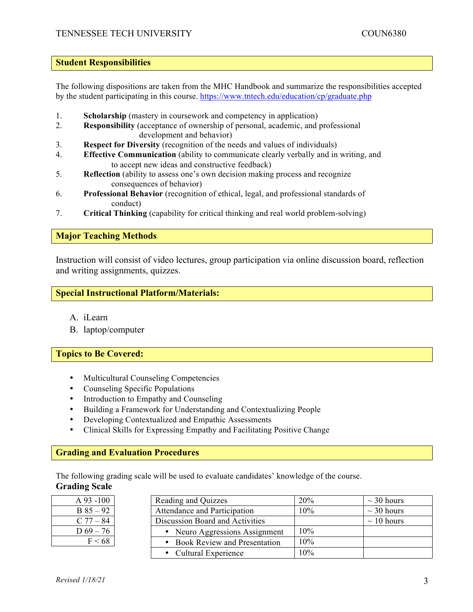#### **Student Responsibilities**

The following dispositions are taken from the MHC Handbook and summarize the responsibilities accepted by the student participating in this course. https://www.tntech.edu/education/cp/graduate.php

- 1. **Scholarship** (mastery in coursework and competency in application)
- 2. **Responsibility** (acceptance of ownership of personal, academic, and professional development and behavior)
- 3. **Respect for Diversity** (recognition of the needs and values of individuals)
- 4. **Effective Communication** (ability to communicate clearly verbally and in writing, and to accept new ideas and constructive feedback)
- 5. **Reflection** (ability to assess one's own decision making process and recognize consequences of behavior)
- 6. **Professional Behavior** (recognition of ethical, legal, and professional standards of conduct)
- 7. **Critical Thinking** (capability for critical thinking and real world problem-solving)

# **Major Teaching Methods**

Instruction will consist of video lectures, group participation via online discussion board, reflection and writing assignments, quizzes.

# **Special Instructional Platform/Materials:**

- A. iLearn
- B. laptop/computer

#### **Topics to Be Covered:**

- Multicultural Counseling Competencies
- Counseling Specific Populations
- Introduction to Empathy and Counseling
- Building a Framework for Understanding and Contextualizing People
- Developing Contextualized and Empathic Assessments
- Clinical Skills for Expressing Empathy and Facilitating Positive Change

#### **Grading and Evaluation Procedures**

The following grading scale will be used to evaluate candidates' knowledge of the course. **Grading Scale**

| $A\,93 - 100$ | Reading and Quizzes                 | 20% | $\sim$ 30 hours |
|---------------|-------------------------------------|-----|-----------------|
| $B 85 - 92$   | Attendance and Participation        | 10% | $\sim$ 30 hours |
| $C$ 77 – 84   | Discussion Board and Activities     |     | $\sim$ 10 hours |
| $D\,69 - 76$  | Neuro Aggressions Assignment        | 10% |                 |
| F < 68        | <b>Book Review and Presentation</b> | 10% |                 |
|               | • Cultural Experience               | 10% |                 |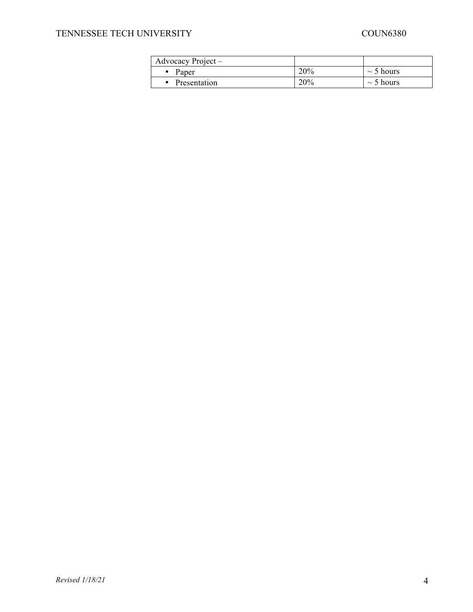# TENNESSEE TECH UNIVERSITY COUN6380

| Advocacy Project $-$ |     |                |
|----------------------|-----|----------------|
| Paper                | 20% | $\sim$ 5 hours |
| Presentation         | 20% | $\sim$ 5 hours |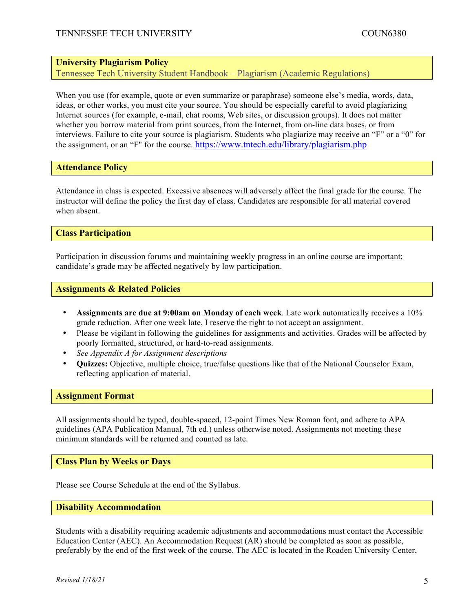# **University Plagiarism Policy**

Tennessee Tech University Student Handbook – Plagiarism (Academic Regulations)

When you use (for example, quote or even summarize or paraphrase) someone else's media, words, data, ideas, or other works, you must cite your source. You should be especially careful to avoid plagiarizing Internet sources (for example, e-mail, chat rooms, Web sites, or discussion groups). It does not matter whether you borrow material from print sources, from the Internet, from on-line data bases, or from interviews. Failure to cite your source is plagiarism. Students who plagiarize may receive an "F" or a "0" for the assignment, or an "F" for the course. https://www.tntech.edu/library/plagiarism.php

### **Attendance Policy**

Attendance in class is expected. Excessive absences will adversely affect the final grade for the course. The instructor will define the policy the first day of class. Candidates are responsible for all material covered when absent.

#### **Class Participation**

Participation in discussion forums and maintaining weekly progress in an online course are important; candidate's grade may be affected negatively by low participation.

#### **Assignments & Related Policies**

- **Assignments are due at 9:00am on Monday of each week**. Late work automatically receives a 10% grade reduction. After one week late, I reserve the right to not accept an assignment.
- Please be vigilant in following the guidelines for assignments and activities. Grades will be affected by poorly formatted, structured, or hard-to-read assignments.
- *See Appendix A for Assignment descriptions*
- **Quizzes:** Objective, multiple choice, true/false questions like that of the National Counselor Exam, reflecting application of material.

#### **Assignment Format**

All assignments should be typed, double-spaced, 12-point Times New Roman font, and adhere to APA guidelines (APA Publication Manual, 7th ed.) unless otherwise noted. Assignments not meeting these minimum standards will be returned and counted as late.

**Class Plan by Weeks or Days**

Please see Course Schedule at the end of the Syllabus.

#### **Disability Accommodation**

Students with a disability requiring academic adjustments and accommodations must contact the Accessible Education Center (AEC). An Accommodation Request (AR) should be completed as soon as possible, preferably by the end of the first week of the course. The AEC is located in the Roaden University Center,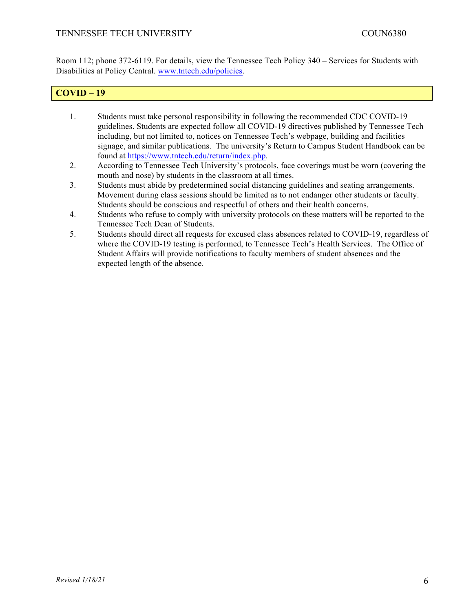Room 112; phone 372-6119. For details, view the Tennessee Tech Policy 340 – Services for Students with Disabilities at Policy Central. www.tntech.edu/policies.

# **COVID – 19**

- 1. Students must take personal responsibility in following the recommended CDC COVID-19 guidelines. Students are expected follow all COVID-19 directives published by Tennessee Tech including, but not limited to, notices on Tennessee Tech's webpage, building and facilities signage, and similar publications. The university's Return to Campus Student Handbook can be found at https://www.tntech.edu/return/index.php.
- 2. According to Tennessee Tech University's protocols, face coverings must be worn (covering the mouth and nose) by students in the classroom at all times.
- 3. Students must abide by predetermined social distancing guidelines and seating arrangements. Movement during class sessions should be limited as to not endanger other students or faculty. Students should be conscious and respectful of others and their health concerns.
- 4. Students who refuse to comply with university protocols on these matters will be reported to the Tennessee Tech Dean of Students.
- 5. Students should direct all requests for excused class absences related to COVID-19, regardless of where the COVID-19 testing is performed, to Tennessee Tech's Health Services. The Office of Student Affairs will provide notifications to faculty members of student absences and the expected length of the absence.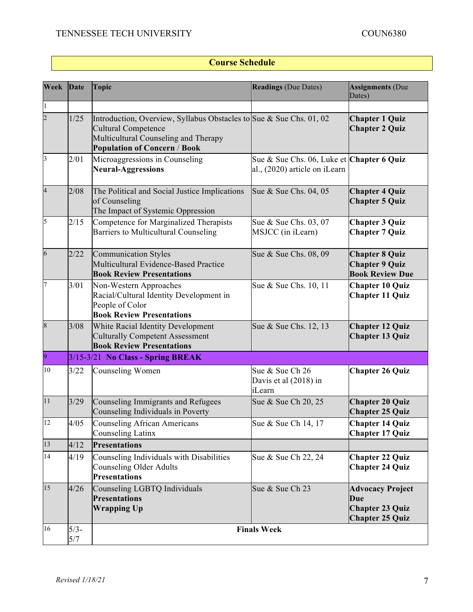# **Course Schedule**

| Week                    | Date           | <b>Topic</b>                                                                                                                                                                     | <b>Readings (Due Dates)</b>                                                | <b>Assignments (Due</b><br>Dates)                                                         |
|-------------------------|----------------|----------------------------------------------------------------------------------------------------------------------------------------------------------------------------------|----------------------------------------------------------------------------|-------------------------------------------------------------------------------------------|
| $\mathbf{1}$            |                |                                                                                                                                                                                  |                                                                            |                                                                                           |
| $\overline{c}$          | 1/25           | Introduction, Overview, Syllabus Obstacles to Sue & Sue Chs. 01, 02<br><b>Cultural Competence</b><br>Multicultural Counseling and Therapy<br><b>Population of Concern / Book</b> |                                                                            | <b>Chapter 1 Quiz</b><br><b>Chapter 2 Quiz</b>                                            |
| $\overline{\mathbf{3}}$ | 2/01           | Microaggressions in Counseling<br><b>Neural-Aggressions</b>                                                                                                                      | Sue & Sue Chs. 06, Luke et Chapter 6 Quiz<br>al., (2020) article on iLearn |                                                                                           |
| $\overline{\mathbf{4}}$ | 2/08           | The Political and Social Justice Implications<br>of Counseling<br>The Impact of Systemic Oppression                                                                              | Sue & Sue Chs. 04, 05                                                      | <b>Chapter 4 Quiz</b><br><b>Chapter 5 Quiz</b>                                            |
| 5                       | 2/15           | Competence for Marginalized Therapists<br><b>Barriers to Multicultural Counseling</b>                                                                                            | Sue & Sue Chs. 03, 07<br>MSJCC (in iLearn)                                 | <b>Chapter 3 Quiz</b><br><b>Chapter 7 Quiz</b>                                            |
| 6                       | 2/22           | <b>Communication Styles</b><br>Multicultural Evidence-Based Practice<br><b>Book Review Presentations</b>                                                                         | Sue & Sue Chs. 08, 09                                                      | <b>Chapter 8 Quiz</b><br><b>Chapter 9 Quiz</b><br><b>Book Review Due</b>                  |
| 7                       | 3/01           | Non-Western Approaches<br>Racial/Cultural Identity Development in<br>People of Color<br><b>Book Review Presentations</b>                                                         | Sue & Sue Chs. 10, 11                                                      | <b>Chapter 10 Quiz</b><br><b>Chapter 11 Quiz</b>                                          |
| 8                       | 3/08           | White Racial Identity Development<br><b>Culturally Competent Assessment</b><br><b>Book Review Presentations</b>                                                                  | Sue & Sue Chs. 12, 13                                                      | <b>Chapter 12 Quiz</b><br><b>Chapter 13 Quiz</b>                                          |
| 9                       |                | $3/15 - 3/21$ No Class - Spring BREAK                                                                                                                                            |                                                                            |                                                                                           |
| 10                      | 3/22           | Counseling Women                                                                                                                                                                 | Sue & Sue Ch 26<br>Davis et al (2018) in<br>iLearn                         | <b>Chapter 26 Quiz</b>                                                                    |
| 11                      | 3/29           | Counseling Immigrants and Refugees<br>Counseling Individuals in Poverty                                                                                                          | Sue & Sue Ch 20, 25                                                        | <b>Chapter 20 Quiz</b><br><b>Chapter 25 Quiz</b>                                          |
| 12                      | 4/05           | <b>Counseling African Americans</b><br>Counseling Latinx                                                                                                                         | Sue & Sue Ch 14, 17                                                        | <b>Chapter 14 Quiz</b><br><b>Chapter 17 Quiz</b>                                          |
| 13                      | 4/12           | <b>Presentations</b>                                                                                                                                                             |                                                                            |                                                                                           |
| 14                      | 4/19           | Counseling Individuals with Disabilities<br><b>Counseling Older Adults</b><br><b>Presentations</b>                                                                               | Sue & Sue Ch 22, 24                                                        | <b>Chapter 22 Quiz</b><br><b>Chapter 24 Quiz</b>                                          |
| 15                      | 4/26           | Counseling LGBTQ Individuals<br><b>Presentations</b><br><b>Wrapping Up</b>                                                                                                       | Sue & Sue Ch 23                                                            | <b>Advocacy Project</b><br><b>Due</b><br><b>Chapter 23 Quiz</b><br><b>Chapter 25 Quiz</b> |
| 16                      | $5/3 -$<br>5/7 |                                                                                                                                                                                  | <b>Finals Week</b>                                                         |                                                                                           |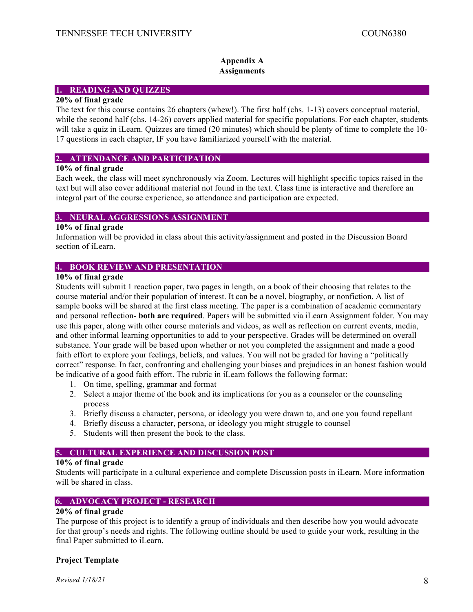#### **Appendix A Assignments**

#### **1. READING AND QUIZZES**

#### **20% of final grade**

The text for this course contains 26 chapters (whew!). The first half (chs. 1-13) covers conceptual material, while the second half (chs. 14-26) covers applied material for specific populations. For each chapter, students will take a quiz in iLearn. Quizzes are timed (20 minutes) which should be plenty of time to complete the 10- 17 questions in each chapter, IF you have familiarized yourself with the material.

#### **2. ATTENDANCE AND PARTICIPATION**

#### **10% of final grade**

Each week, the class will meet synchronously via Zoom. Lectures will highlight specific topics raised in the text but will also cover additional material not found in the text. Class time is interactive and therefore an integral part of the course experience, so attendance and participation are expected.

#### **3. NEURAL AGGRESSIONS ASSIGNMENT**

#### **10% of final grade**

Information will be provided in class about this activity/assignment and posted in the Discussion Board section of iLearn.

# **4. BOOK REVIEW AND PRESENTATION**

# **10% of final grade**

Students will submit 1 reaction paper, two pages in length, on a book of their choosing that relates to the course material and/or their population of interest. It can be a novel, biography, or nonfiction. A list of sample books will be shared at the first class meeting. The paper is a combination of academic commentary and personal reflection- **both are required**. Papers will be submitted via iLearn Assignment folder. You may use this paper, along with other course materials and videos, as well as reflection on current events, media, and other informal learning opportunities to add to your perspective. Grades will be determined on overall substance. Your grade will be based upon whether or not you completed the assignment and made a good faith effort to explore your feelings, beliefs, and values. You will not be graded for having a "politically correct" response. In fact, confronting and challenging your biases and prejudices in an honest fashion would be indicative of a good faith effort. The rubric in iLearn follows the following format:

- 1. On time, spelling, grammar and format
- 2. Select a major theme of the book and its implications for you as a counselor or the counseling process
- 3. Briefly discuss a character, persona, or ideology you were drawn to, and one you found repellant
- 4. Briefly discuss a character, persona, or ideology you might struggle to counsel
- 5. Students will then present the book to the class.

#### **5. CULTURAL EXPERIENCE AND DISCUSSION POST**

#### **10% of final grade**

Students will participate in a cultural experience and complete Discussion posts in iLearn. More information will be shared in class.

### **6. ADVOCACY PROJECT - RESEARCH**

#### **20% of final grade**

The purpose of this project is to identify a group of individuals and then describe how you would advocate for that group's needs and rights. The following outline should be used to guide your work, resulting in the final Paper submitted to iLearn.

#### **Project Template**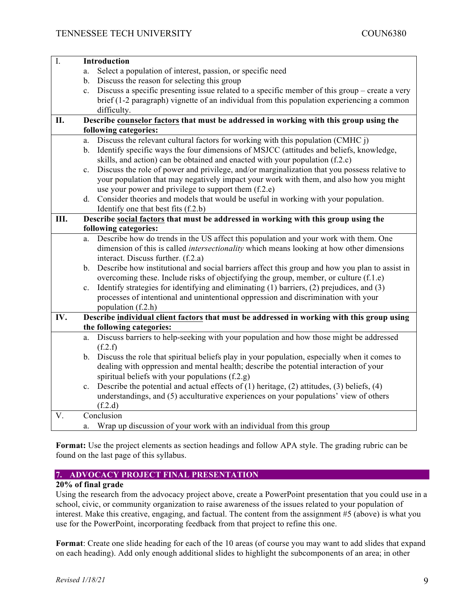| $I_{\cdot}$ | <b>Introduction</b>                                                                                               |
|-------------|-------------------------------------------------------------------------------------------------------------------|
|             | Select a population of interest, passion, or specific need<br>a.                                                  |
|             | b. Discuss the reason for selecting this group                                                                    |
|             | c. Discuss a specific presenting issue related to a specific member of this group – create a very                 |
|             | brief (1-2 paragraph) vignette of an individual from this population experiencing a common                        |
|             | difficulty.                                                                                                       |
| II.         | Describe counselor factors that must be addressed in working with this group using the                            |
|             | following categories:                                                                                             |
|             | Discuss the relevant cultural factors for working with this population (CMHC j)<br>a.                             |
|             | b. Identify specific ways the four dimensions of MSJCC (attitudes and beliefs, knowledge,                         |
|             | skills, and action) can be obtained and enacted with your population (f.2.c)                                      |
|             | Discuss the role of power and privilege, and/or marginalization that you possess relative to<br>$c_{\cdot}$       |
|             | your population that may negatively impact your work with them, and also how you might                            |
|             | use your power and privilege to support them (f.2.e)                                                              |
|             | d. Consider theories and models that would be useful in working with your population.                             |
|             | Identify one that best fits (f.2.b)                                                                               |
| Ш.          | Describe social factors that must be addressed in working with this group using the                               |
|             | following categories:                                                                                             |
|             | Describe how do trends in the US affect this population and your work with them. One<br>a.                        |
|             | dimension of this is called <i>intersectionality</i> which means looking at how other dimensions                  |
|             | interact. Discuss further. (f.2.a)                                                                                |
|             | b. Describe how institutional and social barriers affect this group and how you plan to assist in                 |
|             | overcoming these. Include risks of objectifying the group, member, or culture (f.1.e)                             |
|             | Identify strategies for identifying and eliminating (1) barriers, (2) prejudices, and (3)<br>$c_{\cdot}$          |
|             | processes of intentional and unintentional oppression and discrimination with your                                |
|             | population (f.2.h)                                                                                                |
| IV.         | Describe individual client factors that must be addressed in working with this group using                        |
|             | the following categories:                                                                                         |
|             | Discuss barriers to help-seeking with your population and how those might be addressed<br>a.                      |
|             | (f.2.f)                                                                                                           |
|             | b. Discuss the role that spiritual beliefs play in your population, especially when it comes to                   |
|             | dealing with oppression and mental health; describe the potential interaction of your                             |
|             | spiritual beliefs with your populations (f.2.g)                                                                   |
|             | Describe the potential and actual effects of $(1)$ heritage, $(2)$ attitudes, $(3)$ beliefs, $(4)$<br>$c_{\cdot}$ |
|             | understandings, and (5) acculturative experiences on your populations' view of others                             |
|             | (f.2.d)                                                                                                           |
| V.          | Conclusion                                                                                                        |
|             | Wrap up discussion of your work with an individual from this group<br>a.                                          |

**Format:** Use the project elements as section headings and follow APA style. The grading rubric can be found on the last page of this syllabus.

# **7. ADVOCACY PROJECT FINAL PRESENTATION**

# **20% of final grade**

Using the research from the advocacy project above, create a PowerPoint presentation that you could use in a school, civic, or community organization to raise awareness of the issues related to your population of interest. Make this creative, engaging, and factual. The content from the assignment #5 (above) is what you use for the PowerPoint, incorporating feedback from that project to refine this one.

**Format**: Create one slide heading for each of the 10 areas (of course you may want to add slides that expand on each heading). Add only enough additional slides to highlight the subcomponents of an area; in other